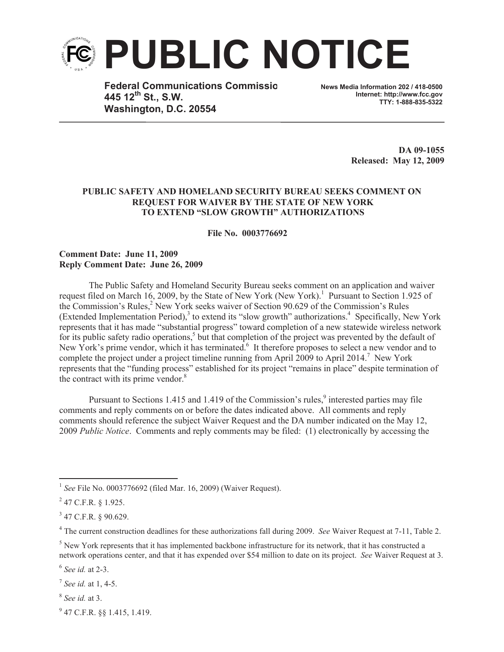

**Federal Communications Commissio 445 12th St., S.W. Washington, D.C. 20554**

**News Media Information 202 / 418-0500 Internet: http://www.fcc.gov TTY: 1-888-835-5322**

> **DA 09-1055 Released: May 12, 2009**

## **PUBLIC SAFETY AND HOMELAND SECURITY BUREAU SEEKS COMMENT ON REQUEST FOR WAIVER BY THE STATE OF NEW YORK TO EXTEND "SLOW GROWTH" AUTHORIZATIONS**

**File No. 0003776692**

## **Comment Date: June 11, 2009 Reply Comment Date: June 26, 2009**

The Public Safety and Homeland Security Bureau seeks comment on an application and waiver request filed on March 16, 2009, by the State of New York (New York).<sup>1</sup> Pursuant to Section 1.925 of the Commission's Rules,<sup>2</sup> New York seeks waiver of Section 90.629 of the Commission's Rules (Extended Implementation Period),<sup>3</sup> to extend its "slow growth" authorizations.<sup>4</sup> Specifically, New York represents that it has made "substantial progress" toward completion of a new statewide wireless network for its public safety radio operations,<sup>5</sup> but that completion of the project was prevented by the default of New York's prime vendor, which it has terminated.<sup>6</sup> It therefore proposes to select a new vendor and to complete the project under a project timeline running from April 2009 to April 2014. <sup>7</sup> New York represents that the "funding process" established for its project "remains in place" despite termination of the contract with its prime vendor.<sup>8</sup>

Pursuant to Sections 1.415 and 1.419 of the Commission's rules, $\frac{9}{3}$  interested parties may file comments and reply comments on or before the dates indicated above. All comments and reply comments should reference the subject Waiver Request and the DA number indicated on the May 12, 2009 *Public Notice*. Comments and reply comments may be filed: (1) electronically by accessing the

<sup>4</sup> The current construction deadlines for these authorizations fall during 2009. *See* Waiver Request at 7-11, Table 2.

 $<sup>5</sup>$  New York represents that it has implemented backbone infrastructure for its network, that it has constructed a</sup> network operations center, and that it has expended over \$54 million to date on its project. *See* Waiver Request at 3.

6 *See id.* at 2-3.

7 *See id.* at 1, 4-5.

8 *See id.* at 3.

<sup>9</sup> 47 C.F.R. §§ 1.415, 1.419.

<sup>&</sup>lt;sup>1</sup> See File No. 0003776692 (filed Mar. 16, 2009) (Waiver Request).

 $^{2}$  47 C.F.R. § 1.925.

 $3$  47 C.F.R. § 90.629.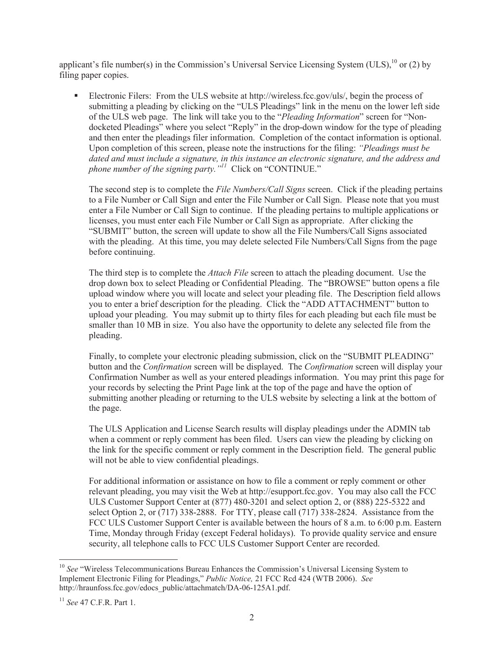applicant's file number(s) in the Commission's Universal Service Licensing System (ULS),  $^{10}$  or (2) by filing paper copies.

Electronic Filers: From the ULS website at http://wireless.fcc.gov/uls/, begin the process of submitting a pleading by clicking on the "ULS Pleadings" link in the menu on the lower left side of the ULS web page. The link will take you to the "*Pleading Information*" screen for "Nondocketed Pleadings" where you select "Reply" in the drop-down window for the type of pleading and then enter the pleadings filer information. Completion of the contact information is optional. Upon completion of this screen, please note the instructions for the filing: *"Pleadings must be dated and must include a signature, in this instance an electronic signature, and the address and phone number of the signing party.*<sup>"*11*</sup> Click on "CONTINUE."

The second step is to complete the *File Numbers/Call Signs* screen. Click if the pleading pertains to a File Number or Call Sign and enter the File Number or Call Sign. Please note that you must enter a File Number or Call Sign to continue. If the pleading pertains to multiple applications or licenses, you must enter each File Number or Call Sign as appropriate. After clicking the "SUBMIT" button, the screen will update to show all the File Numbers/Call Signs associated with the pleading. At this time, you may delete selected File Numbers/Call Signs from the page before continuing.

The third step is to complete the *Attach File* screen to attach the pleading document. Use the drop down box to select Pleading or Confidential Pleading. The "BROWSE" button opens a file upload window where you will locate and select your pleading file. The Description field allows you to enter a brief description for the pleading. Click the "ADD ATTACHMENT" button to upload your pleading. You may submit up to thirty files for each pleading but each file must be smaller than 10 MB in size. You also have the opportunity to delete any selected file from the pleading.

Finally, to complete your electronic pleading submission, click on the "SUBMIT PLEADING" button and the *Confirmation* screen will be displayed. The *Confirmation* screen will display your Confirmation Number as well as your entered pleadings information. You may print this page for your records by selecting the Print Page link at the top of the page and have the option of submitting another pleading or returning to the ULS website by selecting a link at the bottom of the page.

The ULS Application and License Search results will display pleadings under the ADMIN tab when a comment or reply comment has been filed. Users can view the pleading by clicking on the link for the specific comment or reply comment in the Description field. The general public will not be able to view confidential pleadings.

For additional information or assistance on how to file a comment or reply comment or other relevant pleading, you may visit the Web at http://esupport.fcc.gov. You may also call the FCC ULS Customer Support Center at (877) 480-3201 and select option 2, or (888) 225-5322 and select Option 2, or  $(717)$  338-2888. For TTY, please call  $(717)$  338-2824. Assistance from the FCC ULS Customer Support Center is available between the hours of 8 a.m. to 6:00 p.m. Eastern Time, Monday through Friday (except Federal holidays). To provide quality service and ensure security, all telephone calls to FCC ULS Customer Support Center are recorded.

<sup>&</sup>lt;sup>10</sup> See "Wireless Telecommunications Bureau Enhances the Commission's Universal Licensing System to Implement Electronic Filing for Pleadings," *Public Notice,* 21 FCC Rcd 424 (WTB 2006). *See*  http://hraunfoss.fcc.gov/edocs\_public/attachmatch/DA-06-125A1.pdf.

<sup>11</sup> *See* 47 C.F.R. Part 1.